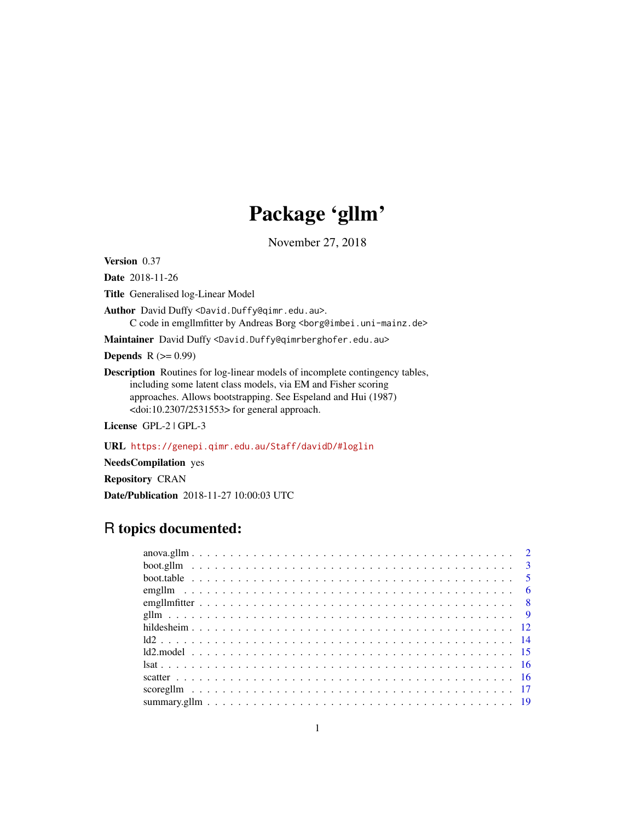# Package 'gllm'

November 27, 2018

Version 0.37

Date 2018-11-26

Title Generalised log-Linear Model

Author David Duffy <David.Duffy@qimr.edu.au>. C code in emgllmfitter by Andreas Borg <br/>borg@imbei.uni-mainz.de>

Maintainer David Duffy <David.Duffy@qimrberghofer.edu.au>

**Depends**  $R$  ( $>= 0.99$ )

Description Routines for log-linear models of incomplete contingency tables, including some latent class models, via EM and Fisher scoring approaches. Allows bootstrapping. See Espeland and Hui (1987) <doi:10.2307/2531553> for general approach.

License GPL-2 | GPL-3

URL <https://genepi.qimr.edu.au/Staff/davidD/#loglin>

NeedsCompilation yes

Repository CRAN

Date/Publication 2018-11-27 10:00:03 UTC

# R topics documented: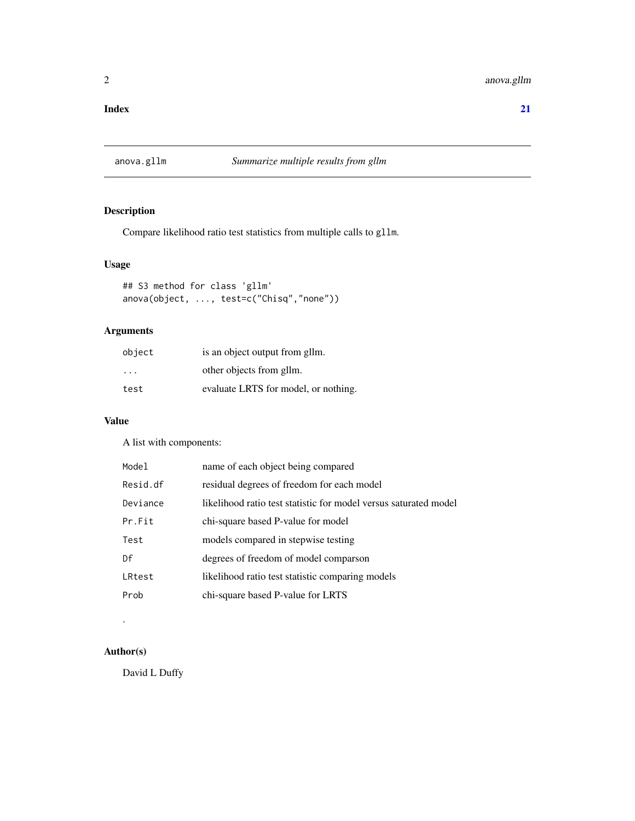#### <span id="page-1-0"></span>**Index** [21](#page-20-0)

# anova.gllm *Summarize multiple results from gllm*

# Description

Compare likelihood ratio test statistics from multiple calls to gllm.

# Usage

```
## S3 method for class 'gllm'
anova(object, ..., test=c("Chisq","none"))
```
# Arguments

| object                  | is an object output from gllm.       |
|-------------------------|--------------------------------------|
| $\cdot$ $\cdot$ $\cdot$ | other objects from gllm.             |
| test                    | evaluate LRTS for model, or nothing. |

#### Value

A list with components:

| Model    | name of each object being compared                               |
|----------|------------------------------------------------------------------|
| Resid.df | residual degrees of freedom for each model                       |
| Deviance | likelihood ratio test statistic for model versus saturated model |
| Pr.Fit   | chi-square based P-value for model                               |
| Test     | models compared in stepwise testing                              |
| Df       | degrees of freedom of model comparson                            |
| LRtest   | likelihood ratio test statistic comparing models                 |
| Prob     | chi-square based P-value for LRTS                                |
|          |                                                                  |

# Author(s)

.

David L Duffy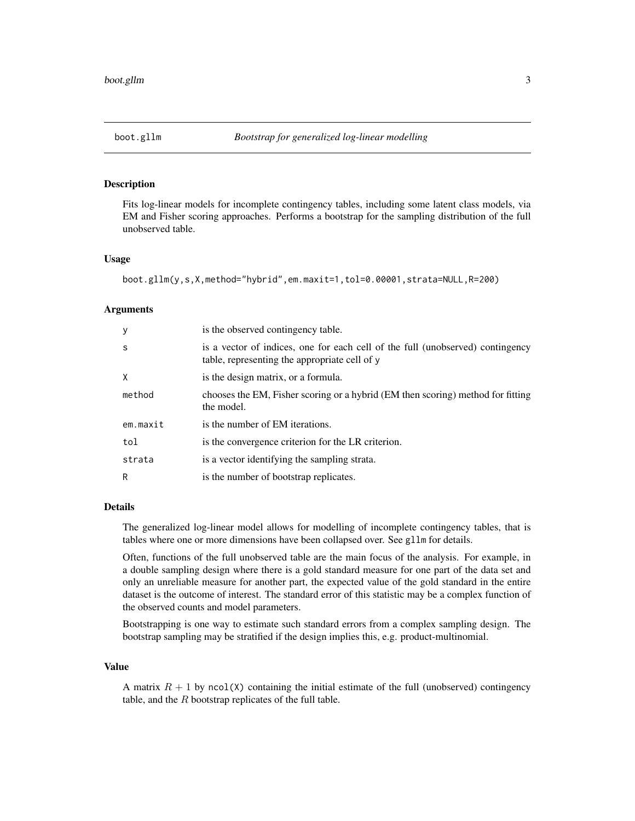<span id="page-2-0"></span>

Fits log-linear models for incomplete contingency tables, including some latent class models, via EM and Fisher scoring approaches. Performs a bootstrap for the sampling distribution of the full unobserved table.

#### Usage

```
boot.gllm(y,s,X,method="hybrid",em.maxit=1,tol=0.00001,strata=NULL,R=200)
```
#### Arguments

| У            | is the observed contingency table.                                                                                              |
|--------------|---------------------------------------------------------------------------------------------------------------------------------|
| <sub>S</sub> | is a vector of indices, one for each cell of the full (unobserved) contingency<br>table, representing the appropriate cell of y |
| Χ            | is the design matrix, or a formula.                                                                                             |
| method       | chooses the EM, Fisher scoring or a hybrid (EM then scoring) method for fitting<br>the model.                                   |
| em.maxit     | is the number of EM iterations.                                                                                                 |
| tol          | is the convergence criterion for the LR criterion.                                                                              |
| strata       | is a vector identifying the sampling strata.                                                                                    |
| R            | is the number of bootstrap replicates.                                                                                          |

# Details

The generalized log-linear model allows for modelling of incomplete contingency tables, that is tables where one or more dimensions have been collapsed over. See gllm for details.

Often, functions of the full unobserved table are the main focus of the analysis. For example, in a double sampling design where there is a gold standard measure for one part of the data set and only an unreliable measure for another part, the expected value of the gold standard in the entire dataset is the outcome of interest. The standard error of this statistic may be a complex function of the observed counts and model parameters.

Bootstrapping is one way to estimate such standard errors from a complex sampling design. The bootstrap sampling may be stratified if the design implies this, e.g. product-multinomial.

# Value

A matrix  $R + 1$  by ncol(X) containing the initial estimate of the full (unobserved) contingency table, and the  $R$  bootstrap replicates of the full table.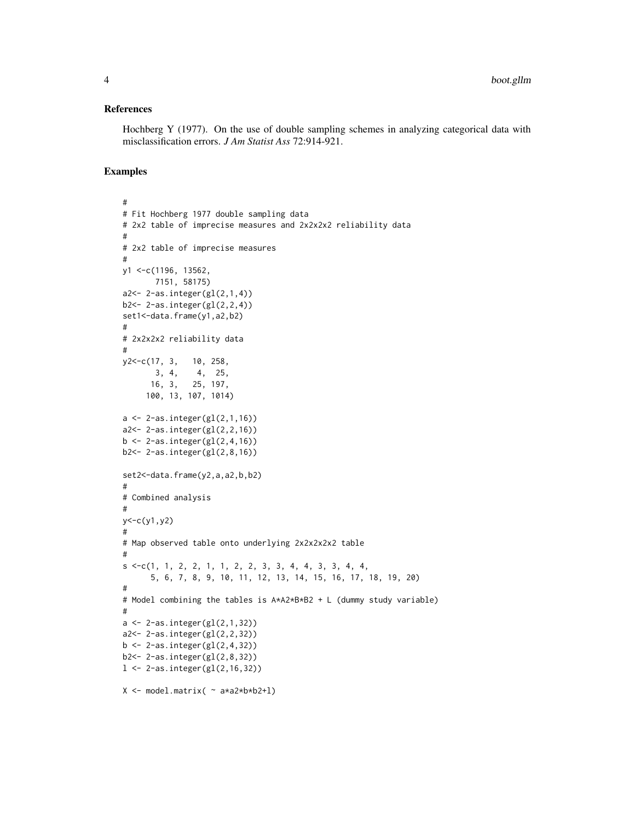#### References

Hochberg Y (1977). On the use of double sampling schemes in analyzing categorical data with misclassification errors. *J Am Statist Ass* 72:914-921.

```
#
# Fit Hochberg 1977 double sampling data
# 2x2 table of imprecise measures and 2x2x2x2 reliability data
#
# 2x2 table of imprecise measures
#
y1 <-c(1196, 13562,
       7151, 58175)
a2<- 2-as.integer(gl(2,1,4))
b2<- 2-as.integer(gl(2,2,4))
set1<-data.frame(y1,a2,b2)
#
# 2x2x2x2 reliability data
#
y2<-c(17, 3, 10, 258,
       3, 4, 4, 25,
      16, 3, 25, 197,
     100, 13, 107, 1014)
a \leftarrow 2-as.integer(gl(2,1,16))
a2<- 2-as.integer(gl(2,2,16))
b \leftarrow 2-as.integer(gl(2,4,16))
b2<- 2-as.integer(gl(2,8,16))
set2<-data.frame(y2,a,a2,b,b2)
#
# Combined analysis
#
y < -c(y1, y2)#
# Map observed table onto underlying 2x2x2x2x2 table
#
s \leq c(1, 1, 2, 2, 1, 1, 2, 2, 3, 3, 4, 4, 3, 3, 4, 4,5, 6, 7, 8, 9, 10, 11, 12, 13, 14, 15, 16, 17, 18, 19, 20)
#
# Model combining the tables is A*A2*B*B2 + L (dummy study variable)
#
a \leftarrow 2-as.integer(gl(2,1,32))
a2<- 2-as.integer(gl(2,2,32))
b \leftarrow 2-as.integer(gl(2,4,32))
b2<- 2-as.integer(gl(2,8,32))
l <- 2-as.integer(gl(2,16,32))
X <- model.matrix( ~ a*a2*b*b2+l)
```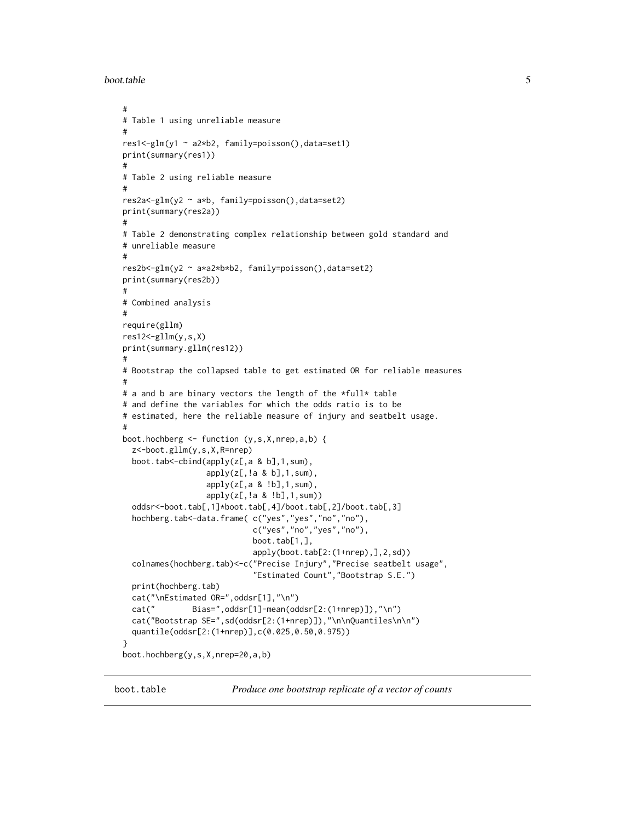<span id="page-4-0"></span>boot.table 5

```
#
# Table 1 using unreliable measure
#
res1<-glm(y1 ~ a2*b2, family=poisson(),data=set1)
print(summary(res1))
#
# Table 2 using reliable measure
#
res2a<-glm(y2 ~ a*b, family=poisson(),data=set2)
print(summary(res2a))
#
# Table 2 demonstrating complex relationship between gold standard and
# unreliable measure
#
res2b<-glm(y2 ~ a*a2*b*b2, family=poisson(),data=set2)
print(summary(res2b))
#
# Combined analysis
#
require(gllm)
res12<-gllm(y,s,X)
print(summary.gllm(res12))
#
# Bootstrap the collapsed table to get estimated OR for reliable measures
#
# a and b are binary vectors the length of the *full* table
# and define the variables for which the odds ratio is to be
# estimated, here the reliable measure of injury and seatbelt usage.
#
boot.hochberg <- function (y,s,X,nrep,a,b) {
  z<-boot.gllm(y,s,X,R=nrep)
  boot.tab<-cbind(apply(z[,a & b],1,sum),
                  apply(z[, !a & b], 1, sum),apply(z[,a & !b],1,sum),
                  apply(z[,!a & !b],1,sum))
  oddsr<-boot.tab[,1]*boot.tab[,4]/boot.tab[,2]/boot.tab[,3]
  hochberg.tab<-data.frame( c("yes","yes","no","no"),
                            c("yes","no","yes","no"),
                            boot.tab[1,],
                            apply(boot.tab[2:(1+nrep),],2,sd))
  colnames(hochberg.tab)<-c("Precise Injury","Precise seatbelt usage",
                            "Estimated Count","Bootstrap S.E.")
  print(hochberg.tab)
  cat("\nEstimated OR=",oddsr[1],"\n")
  cat(" Bias=",oddsr[1]-mean(oddsr[2:(1+nrep)]),"\n")
  cat("Bootstrap SE=",sd(oddsr[2:(1+nrep)]),"\n\nQuantiles\n\n")
  quantile(oddsr[2:(1+nrep)],c(0.025,0.50,0.975))
}
boot.hochberg(y,s,X,nrep=20,a,b)
```
boot.table *Produce one bootstrap replicate of a vector of counts*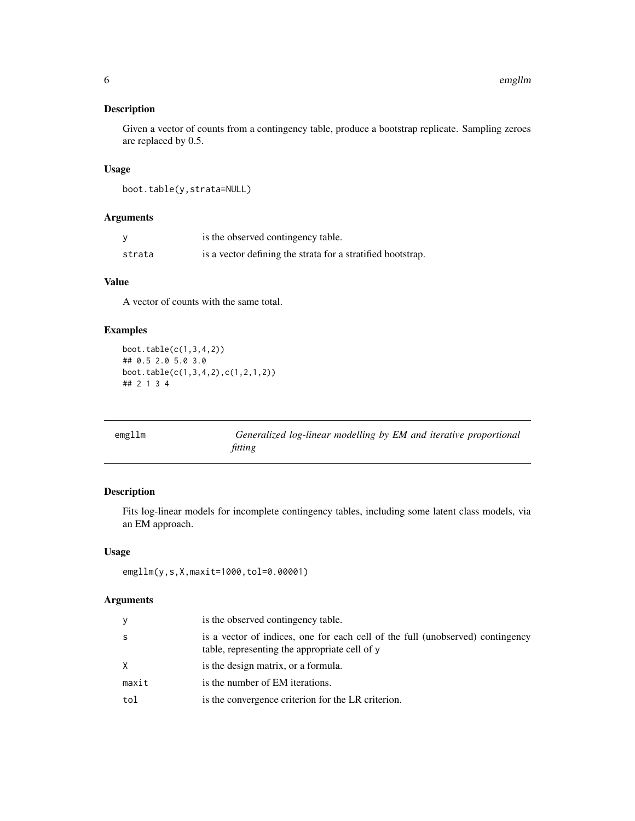<span id="page-5-0"></span>Given a vector of counts from a contingency table, produce a bootstrap replicate. Sampling zeroes are replaced by 0.5.

# Usage

```
boot.table(y,strata=NULL)
```
# Arguments

|        | is the observed contingency table.                          |
|--------|-------------------------------------------------------------|
| strata | is a vector defining the strata for a stratified bootstrap. |

# Value

A vector of counts with the same total.

# Examples

```
boot.table(c(1,3,4,2))## 0.5 2.0 5.0 3.0
boot.table(c(1,3,4,2),c(1,2,1,2))
## 2 1 3 4
```

| emgllm | Generalized log-linear modelling by EM and iterative proportional |
|--------|-------------------------------------------------------------------|
|        | fitting                                                           |

# Description

Fits log-linear models for incomplete contingency tables, including some latent class models, via an EM approach.

# Usage

```
emgllm(y,s,X,maxit=1000,tol=0.00001)
```
# Arguments

| y     | is the observed contingency table.                                                                                              |
|-------|---------------------------------------------------------------------------------------------------------------------------------|
| S     | is a vector of indices, one for each cell of the full (unobserved) contingency<br>table, representing the appropriate cell of y |
| X     | is the design matrix, or a formula.                                                                                             |
| maxit | is the number of EM iterations.                                                                                                 |
| tol   | is the convergence criterion for the LR criterion.                                                                              |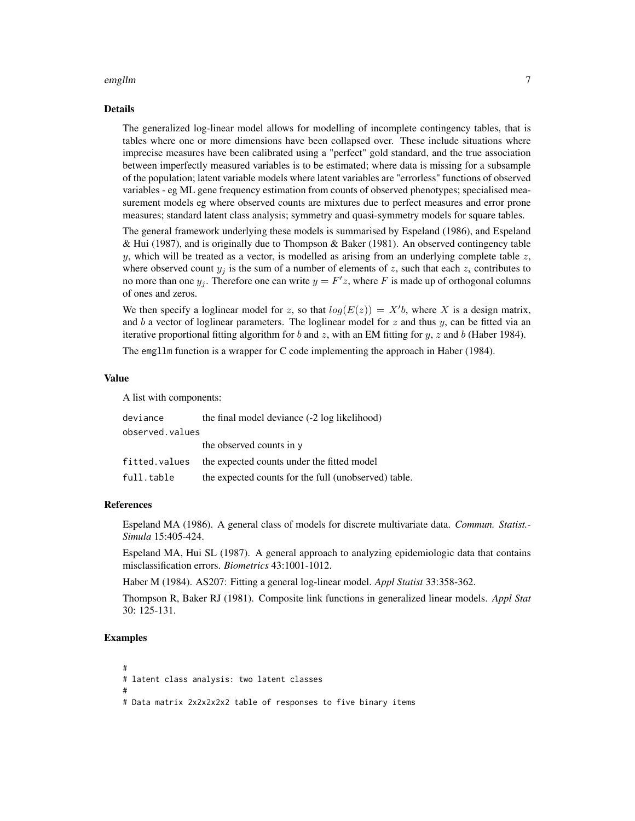#### emgllm 7

#### Details

The generalized log-linear model allows for modelling of incomplete contingency tables, that is tables where one or more dimensions have been collapsed over. These include situations where imprecise measures have been calibrated using a "perfect" gold standard, and the true association between imperfectly measured variables is to be estimated; where data is missing for a subsample of the population; latent variable models where latent variables are "errorless" functions of observed variables - eg ML gene frequency estimation from counts of observed phenotypes; specialised measurement models eg where observed counts are mixtures due to perfect measures and error prone measures; standard latent class analysis; symmetry and quasi-symmetry models for square tables.

The general framework underlying these models is summarised by Espeland (1986), and Espeland & Hui (1987), and is originally due to Thompson & Baker (1981). An observed contingency table y, which will be treated as a vector, is modelled as arising from an underlying complete table  $z$ , where observed count  $y_i$  is the sum of a number of elements of z, such that each  $z_i$  contributes to no more than one  $y_j$ . Therefore one can write  $y = F'z$ , where F is made up of orthogonal columns of ones and zeros.

We then specify a loglinear model for z, so that  $log(E(z)) = X'b$ , where X is a design matrix, and b a vector of loglinear parameters. The loglinear model for z and thus y, can be fitted via an iterative proportional fitting algorithm for b and z, with an EM fitting for  $y$ , z and b (Haber 1984).

The emgllm function is a wrapper for C code implementing the approach in Haber (1984).

#### Value

A list with components:

| deviance        | the final model deviance (-2 log likelihood)         |  |  |  |  |  |  |  |  |
|-----------------|------------------------------------------------------|--|--|--|--|--|--|--|--|
| observed.values |                                                      |  |  |  |  |  |  |  |  |
|                 | the observed counts in y                             |  |  |  |  |  |  |  |  |
| fitted.values   | the expected counts under the fitted model           |  |  |  |  |  |  |  |  |
| full.table      | the expected counts for the full (unobserved) table. |  |  |  |  |  |  |  |  |

#### References

Espeland MA (1986). A general class of models for discrete multivariate data. *Commun. Statist.- Simula* 15:405-424.

Espeland MA, Hui SL (1987). A general approach to analyzing epidemiologic data that contains misclassification errors. *Biometrics* 43:1001-1012.

Haber M (1984). AS207: Fitting a general log-linear model. *Appl Statist* 33:358-362.

Thompson R, Baker RJ (1981). Composite link functions in generalized linear models. *Appl Stat* 30: 125-131.

```
#
# latent class analysis: two latent classes
#
# Data matrix 2x2x2x2x2 table of responses to five binary items
```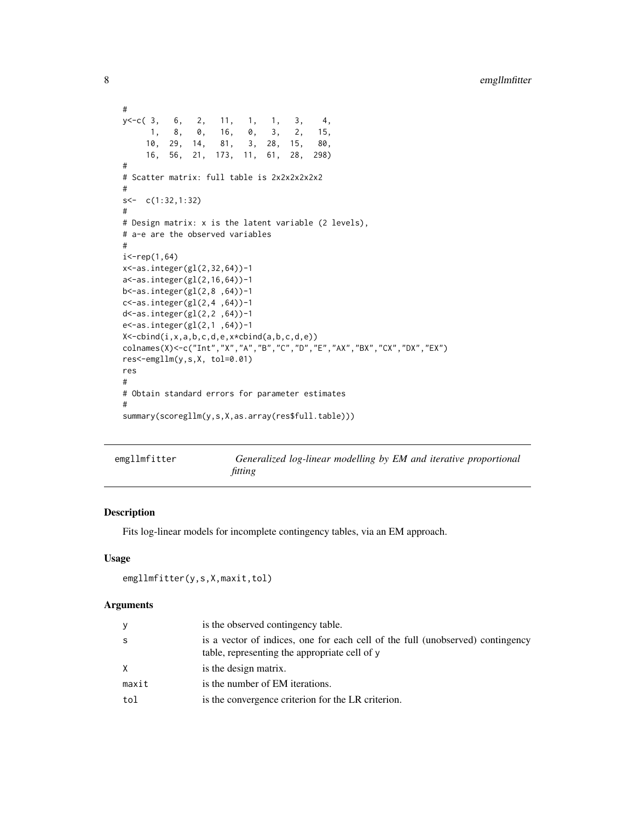```
#
y<-c( 3, 6, 2, 11, 1, 1, 3, 4,
     1, 8, 0, 16, 0, 3, 2, 15,
    10, 29, 14, 81, 3, 28, 15, 80,
    16, 56, 21, 173, 11, 61, 28, 298)
#
# Scatter matrix: full table is 2x2x2x2x2x2
#
s<- c(1:32,1:32)
#
# Design matrix: x is the latent variable (2 levels),
# a-e are the observed variables
#
i < - rep(1,64)
x<-as.integer(gl(2,32,64))-1
a<-as.integer(gl(2,16,64))-1
b<-as.integer(gl(2,8 ,64))-1
c<-as.integer(gl(2,4 ,64))-1
d<-as.integer(gl(2,2 ,64))-1
e<-as.integer(gl(2,1 ,64))-1
X<-cbind(i,x,a,b,c,d,e,x*cbind(a,b,c,d,e))
colnames(X)<-c("Int","X","A","B","C","D","E","AX","BX","CX","DX","EX")
res<-emgllm(y,s,X, tol=0.01)
res
#
# Obtain standard errors for parameter estimates
#
summary(scoregllm(y,s,X,as.array(res$full.table)))
```

| emgllmfitter | Generalized log-linear modelling by EM and iterative proportional |  |  |  |  |
|--------------|-------------------------------------------------------------------|--|--|--|--|
|              | fitting                                                           |  |  |  |  |

Fits log-linear models for incomplete contingency tables, via an EM approach.

# Usage

```
emgllmfitter(y,s,X,maxit,tol)
```
#### Arguments

| y            | is the observed contingency table.                                                                                              |
|--------------|---------------------------------------------------------------------------------------------------------------------------------|
| - S          | is a vector of indices, one for each cell of the full (unobserved) contingency<br>table, representing the appropriate cell of y |
| $\mathsf{X}$ | is the design matrix.                                                                                                           |
| maxit        | is the number of EM iterations.                                                                                                 |
| tol          | is the convergence criterion for the LR criterion.                                                                              |

<span id="page-7-0"></span>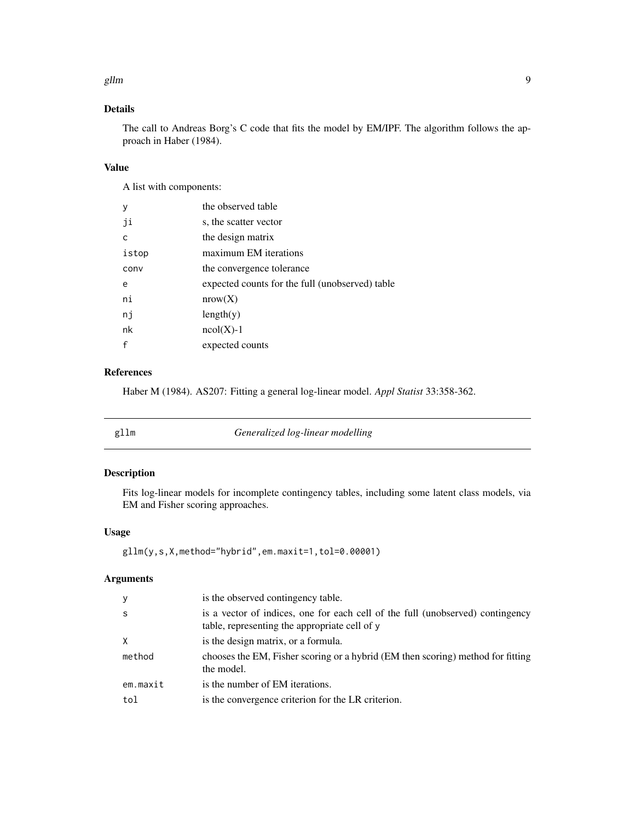#### <span id="page-8-0"></span>gllm the contract of the contract of the contract of the contract of the contract of the contract of the contract of the contract of the contract of the contract of the contract of the contract of the contract of the contr

# Details

The call to Andreas Borg's C code that fits the model by EM/IPF. The algorithm follows the approach in Haber (1984).

# Value

A list with components:

| y     | the observed table                              |
|-------|-------------------------------------------------|
| ji    | s, the scatter vector                           |
| C     | the design matrix                               |
| istop | maximum EM iterations                           |
| conv  | the convergence tolerance                       |
| e     | expected counts for the full (unobserved) table |
| ni    | nrow(X)                                         |
| nj    | length(y)                                       |
| nk    | $ncol(X)-1$                                     |
| f     | expected counts                                 |

# References

Haber M (1984). AS207: Fitting a general log-linear model. *Appl Statist* 33:358-362.

# Description

Fits log-linear models for incomplete contingency tables, including some latent class models, via EM and Fisher scoring approaches.

# Usage

```
gllm(y,s,X,method="hybrid",em.maxit=1,tol=0.00001)
```
# Arguments

| У        | is the observed contingency table.                                                                                              |
|----------|---------------------------------------------------------------------------------------------------------------------------------|
| S        | is a vector of indices, one for each cell of the full (unobserved) contingency<br>table, representing the appropriate cell of y |
| X        | is the design matrix, or a formula.                                                                                             |
| method   | chooses the EM, Fisher scoring or a hybrid (EM then scoring) method for fitting<br>the model.                                   |
| em.maxit | is the number of EM iterations.                                                                                                 |
| tol      | is the convergence criterion for the LR criterion.                                                                              |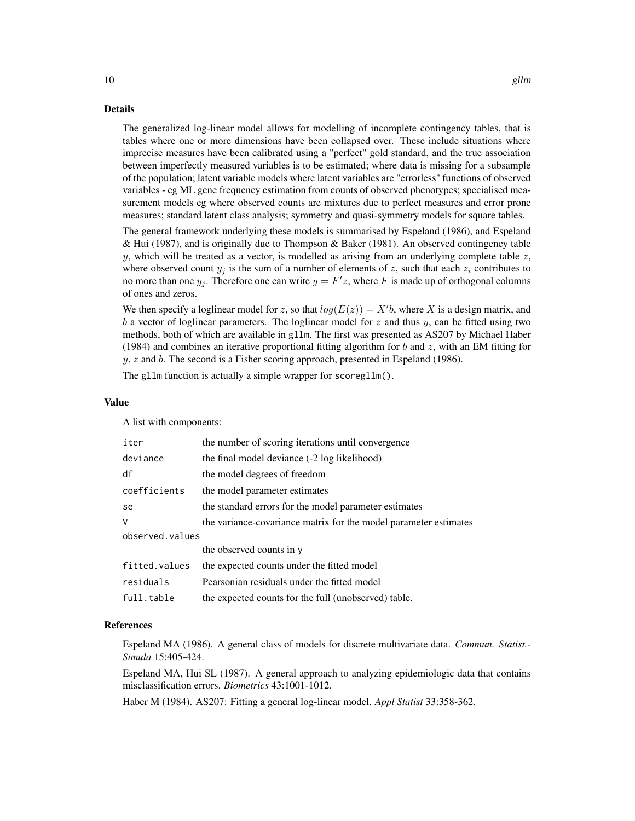The generalized log-linear model allows for modelling of incomplete contingency tables, that is tables where one or more dimensions have been collapsed over. These include situations where imprecise measures have been calibrated using a "perfect" gold standard, and the true association between imperfectly measured variables is to be estimated; where data is missing for a subsample of the population; latent variable models where latent variables are "errorless" functions of observed variables - eg ML gene frequency estimation from counts of observed phenotypes; specialised measurement models eg where observed counts are mixtures due to perfect measures and error prone measures; standard latent class analysis; symmetry and quasi-symmetry models for square tables.

The general framework underlying these models is summarised by Espeland (1986), and Espeland & Hui (1987), and is originally due to Thompson & Baker (1981). An observed contingency table y, which will be treated as a vector, is modelled as arising from an underlying complete table  $z$ , where observed count  $y_i$  is the sum of a number of elements of z, such that each  $z_i$  contributes to no more than one  $y_j$ . Therefore one can write  $y = F'z$ , where F is made up of orthogonal columns of ones and zeros.

We then specify a loglinear model for z, so that  $log(E(z)) = X'b$ , where X is a design matrix, and b a vector of loglinear parameters. The loglinear model for  $z$  and thus  $y$ , can be fitted using two methods, both of which are available in gllm. The first was presented as AS207 by Michael Haber (1984) and combines an iterative proportional fitting algorithm for  $b$  and  $z$ , with an EM fitting for  $y, z$  and b. The second is a Fisher scoring approach, presented in Espeland (1986).

The gllm function is actually a simple wrapper for scoregllm().

#### Value

A list with components:

| iter            | the number of scoring iterations until convergence               |  |  |
|-----------------|------------------------------------------------------------------|--|--|
| deviance        | the final model deviance (-2 log likelihood)                     |  |  |
| df              | the model degrees of freedom                                     |  |  |
| coefficients    | the model parameter estimates                                    |  |  |
| se              | the standard errors for the model parameter estimates            |  |  |
| V               | the variance-covariance matrix for the model parameter estimates |  |  |
| observed.values |                                                                  |  |  |
|                 | the observed counts in y                                         |  |  |
| fitted.values   | the expected counts under the fitted model                       |  |  |
| residuals       | Pearsonian residuals under the fitted model                      |  |  |
| full.table      | the expected counts for the full (unobserved) table.             |  |  |

#### References

Espeland MA (1986). A general class of models for discrete multivariate data. *Commun. Statist.- Simula* 15:405-424.

Espeland MA, Hui SL (1987). A general approach to analyzing epidemiologic data that contains misclassification errors. *Biometrics* 43:1001-1012.

Haber M (1984). AS207: Fitting a general log-linear model. *Appl Statist* 33:358-362.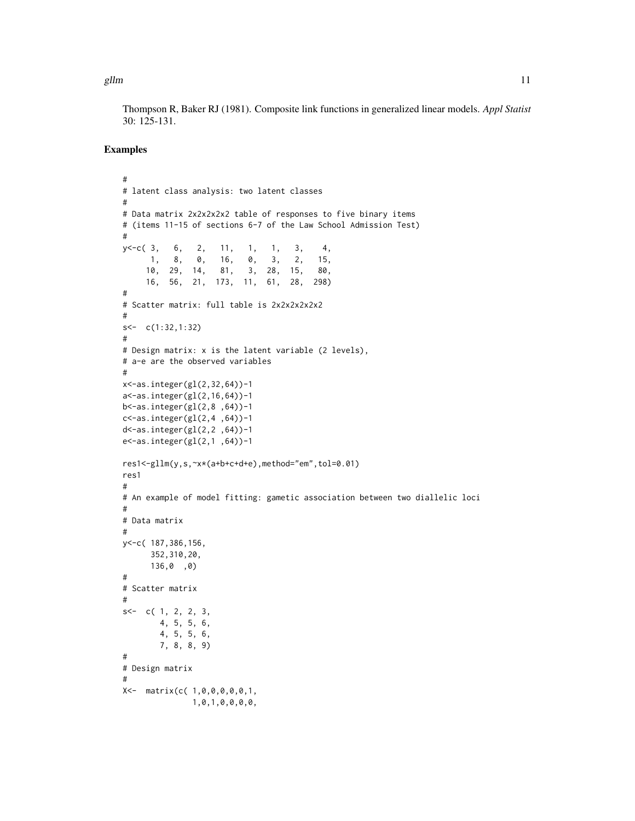gllm  $11$ 

Thompson R, Baker RJ (1981). Composite link functions in generalized linear models. *Appl Statist* 30: 125-131.

```
#
# latent class analysis: two latent classes
#
# Data matrix 2x2x2x2x2 table of responses to five binary items
# (items 11-15 of sections 6-7 of the Law School Admission Test)
#
y<-c( 3, 6, 2, 11, 1, 1, 3, 4,
     1, 8, 0, 16, 0, 3, 2, 15,
     10, 29, 14, 81, 3, 28, 15, 80,
     16, 56, 21, 173, 11, 61, 28, 298)
#
# Scatter matrix: full table is 2x2x2x2x2x2
#
s<- c(1:32,1:32)
#
# Design matrix: x is the latent variable (2 levels),
# a-e are the observed variables
#
x<-as.integer(gl(2,32,64))-1
a<-as.integer(gl(2,16,64))-1
b<-as.integer(gl(2,8 ,64))-1
c <-as.integer(gl(2,4,64))-1
d<-as.integer(gl(2,2 ,64))-1
e<-as.integer(gl(2,1 ,64))-1
res1<-gllm(y,s,~x*(a+b+c+d+e),method="em",tol=0.01)
res1
#
# An example of model fitting: gametic association between two diallelic loci
#
# Data matrix
#
y<-c( 187,386,156,
     352,310,20,
     136,0 ,0)
#
# Scatter matrix
#
s < -c(1, 2, 2, 3,4, 5, 5, 6,
       4, 5, 5, 6,
       7, 8, 8, 9)
#
# Design matrix
#
X<- matrix(c( 1,0,0,0,0,0,1,
              1,0,1,0,0,0,0,
```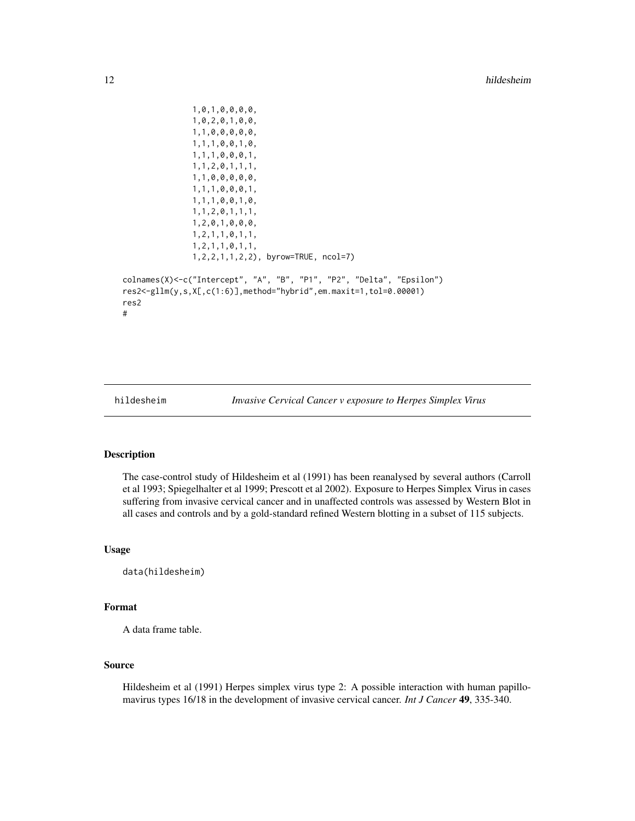```
1,0,1,0,0,0,0,
               1,0,2,0,1,0,0,
               1,1,0,0,0,0,0,
               1,1,1,0,0,1,0,
               1,1,1,0,0,0,1,
               1,1,2,0,1,1,1,
               1,1,0,0,0,0,0,
               1,1,1,0,0,0,1,
               1,1,1,0,0,1,0,
               1,1,2,0,1,1,1,
               1,2,0,1,0,0,0,
               1,2,1,1,0,1,1,
               1,2,1,1,0,1,1,
               1,2,2,1,1,2,2), byrow=TRUE, ncol=7)
colnames(X)<-c("Intercept", "A", "B", "P1", "P2", "Delta", "Epsilon")
res2<-gllm(y,s,X[,c(1:6)],method="hybrid",em.maxit=1,tol=0.00001)
res2
#
```
hildesheim *Invasive Cervical Cancer v exposure to Herpes Simplex Virus*

#### Description

The case-control study of Hildesheim et al (1991) has been reanalysed by several authors (Carroll et al 1993; Spiegelhalter et al 1999; Prescott et al 2002). Exposure to Herpes Simplex Virus in cases suffering from invasive cervical cancer and in unaffected controls was assessed by Western Blot in all cases and controls and by a gold-standard refined Western blotting in a subset of 115 subjects.

#### Usage

data(hildesheim)

#### Format

A data frame table.

# Source

Hildesheim et al (1991) Herpes simplex virus type 2: A possible interaction with human papillomavirus types 16/18 in the development of invasive cervical cancer. *Int J Cancer* 49, 335-340.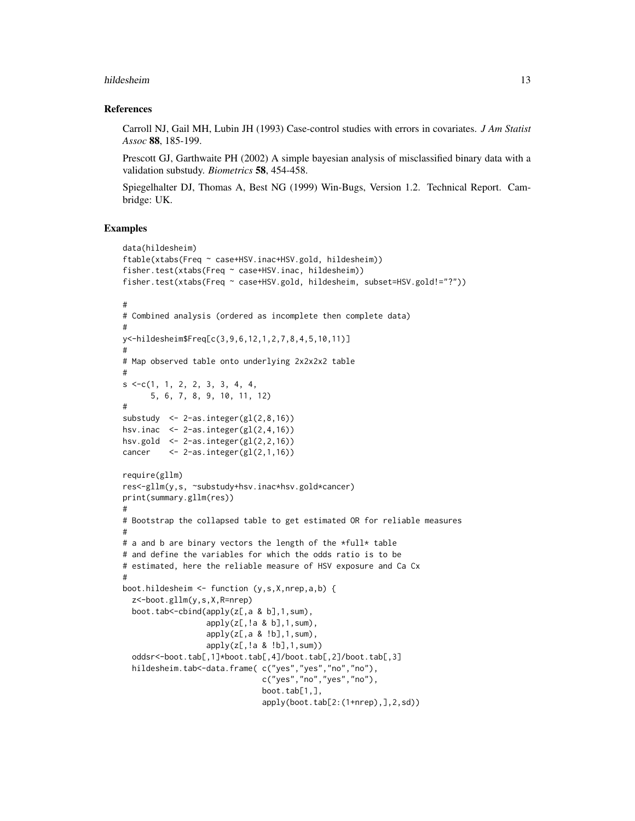#### hildesheim 13

#### References

Carroll NJ, Gail MH, Lubin JH (1993) Case-control studies with errors in covariates. *J Am Statist Assoc* 88, 185-199.

Prescott GJ, Garthwaite PH (2002) A simple bayesian analysis of misclassified binary data with a validation substudy. *Biometrics* 58, 454-458.

Spiegelhalter DJ, Thomas A, Best NG (1999) Win-Bugs, Version 1.2. Technical Report. Cambridge: UK.

```
data(hildesheim)
ftable(xtabs(Freq ~ case+HSV.inac+HSV.gold, hildesheim))
fisher.test(xtabs(Freq ~ case+HSV.inac, hildesheim))
fisher.test(xtabs(Freq ~ case+HSV.gold, hildesheim, subset=HSV.gold!="?"))
#
# Combined analysis (ordered as incomplete then complete data)
#
y<-hildesheim$Freq[c(3,9,6,12,1,2,7,8,4,5,10,11)]
#
# Map observed table onto underlying 2x2x2x2 table
#
s \leq -c(1, 1, 2, 2, 3, 3, 4, 4,5, 6, 7, 8, 9, 10, 11, 12)
#
substudy \leq 2-as.integer(gl(2,8,16))
hsv.inac \leq 2-as.integer(gl(2,4,16))
hsv.gold \leq 2-as.integer(gl(2,2,16))
cancer <- 2-as.integer(gl(2,1,16))
require(gllm)
res<-gllm(y,s, ~substudy+hsv.inac*hsv.gold*cancer)
print(summary.gllm(res))
#
# Bootstrap the collapsed table to get estimated OR for reliable measures
#
# a and b are binary vectors the length of the *full* table
# and define the variables for which the odds ratio is to be
# estimated, here the reliable measure of HSV exposure and Ca Cx
#
boot.hildesheim <- function (y,s,X,nrep,a,b) {
  z<-boot.gllm(y,s,X,R=nrep)
  boot.tab<-cbind(apply(z[,a & b],1,sum),
                  apply(z[,!a \& b], 1, sum),apply(z[,a \& !b],1,sum, sum),
                  apply(z[,!a & !b],1,sum))
  oddsr<-boot.tab[,1]*boot.tab[,4]/boot.tab[,2]/boot.tab[,3]
  hildesheim.tab<-data.frame(c("yes","yes","no","no"),
                              c("yes","no","yes","no"),
                              boot.tab[1,],
                              apply(boot.tab[2:(1+nrep),],2,sd))
```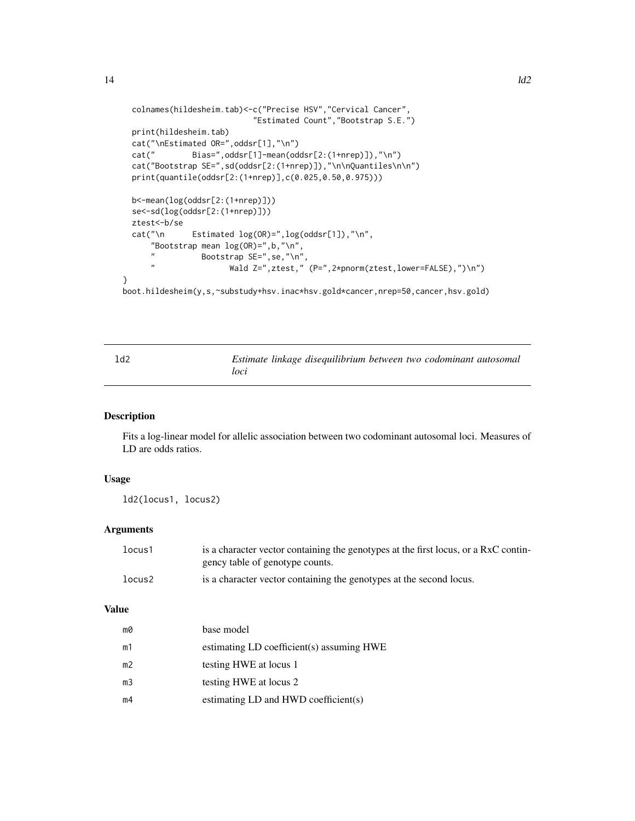```
colnames(hildesheim.tab)<-c("Precise HSV","Cervical Cancer",
                            "Estimated Count","Bootstrap S.E.")
  print(hildesheim.tab)
  cat("\nEstimated OR=",oddsr[1],"\n")
  cat(" Bias=",oddsr[1]-mean(oddsr[2:(1+nrep)]),"\n")
  cat("Bootstrap SE=",sd(oddsr[2:(1+nrep)]),"\n\nQuantiles\n\n")
  print(quantile(oddsr[2:(1+nrep)],c(0.025,0.50,0.975)))
  b<-mean(log(oddsr[2:(1+nrep)]))
  se<-sd(log(oddsr[2:(1+nrep)]))
  ztest<-b/se<br>cat("\n
               Estimated log(OR)=", log(oddsr[1]), "\n",
      "Bootstrap mean log(QR)=", b, "\n",
      " Bootstrap SE = ", se, "\n",
                       Wald Z=",ztest," (P=",2*pnorm(ztest,lower=FALSE),")\n")
}
boot.hildesheim(y,s,~substudy+hsv.inac*hsv.gold*cancer,nrep=50,cancer,hsv.gold)
```

| 1d2 |      | Estimate linkage disequilibrium between two codominant autosomal |  |  |
|-----|------|------------------------------------------------------------------|--|--|
|     | loci |                                                                  |  |  |

Fits a log-linear model for allelic association between two codominant autosomal loci. Measures of LD are odds ratios.

# Usage

ld2(locus1, locus2)

# Arguments

| locus1 | is a character vector containing the genotypes at the first locus, or a RxC contin-<br>gency table of genotype counts. |
|--------|------------------------------------------------------------------------------------------------------------------------|
| locus2 | is a character vector containing the genotypes at the second locus.                                                    |

#### Value

| mØ             | base model                                |
|----------------|-------------------------------------------|
| m1             | estimating LD coefficient(s) assuming HWE |
| m <sub>2</sub> | testing HWE at locus 1                    |
| m <sub>3</sub> | testing HWE at locus 2                    |
| m4             | estimating $LD$ and $HWD$ coefficient(s)  |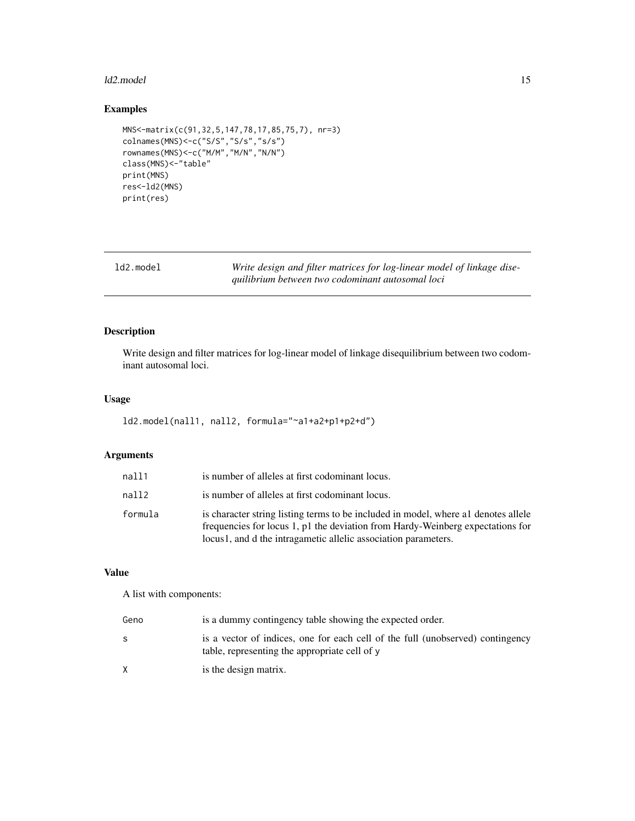#### <span id="page-14-0"></span>ld2.model 15

# Examples

```
MNS<-matrix(c(91,32,5,147,78,17,85,75,7), nr=3)
colnames(MNS)<-c("S/S","S/s","s/s")
rownames(MNS)<-c("M/M","M/N","N/N")
class(MNS)<-"table"
print(MNS)
res<-ld2(MNS)
print(res)
```
Write design and filter matrices for log-linear model of linkage dise*quilibrium between two codominant autosomal loci*

# Description

Write design and filter matrices for log-linear model of linkage disequilibrium between two codominant autosomal loci.

# Usage

```
ld2.model(nall1, nall2, formula="~a1+a2+p1+p2+d")
```
# Arguments

| nall1       | is number of alleles at first codominant locus.                                                                                                                                                                                         |
|-------------|-----------------------------------------------------------------------------------------------------------------------------------------------------------------------------------------------------------------------------------------|
| $n$ all $2$ | is number of alleles at first codominant locus.                                                                                                                                                                                         |
| formula     | is character string listing terms to be included in model, where all denotes allele<br>frequencies for locus 1, p1 the deviation from Hardy-Weinberg expectations for<br>locus1, and d the intragametic allelic association parameters. |

# Value

A list with components:

| Geno | is a dummy contingency table showing the expected order.                                                                        |
|------|---------------------------------------------------------------------------------------------------------------------------------|
| S    | is a vector of indices, one for each cell of the full (unobserved) contingency<br>table, representing the appropriate cell of y |
|      | is the design matrix.                                                                                                           |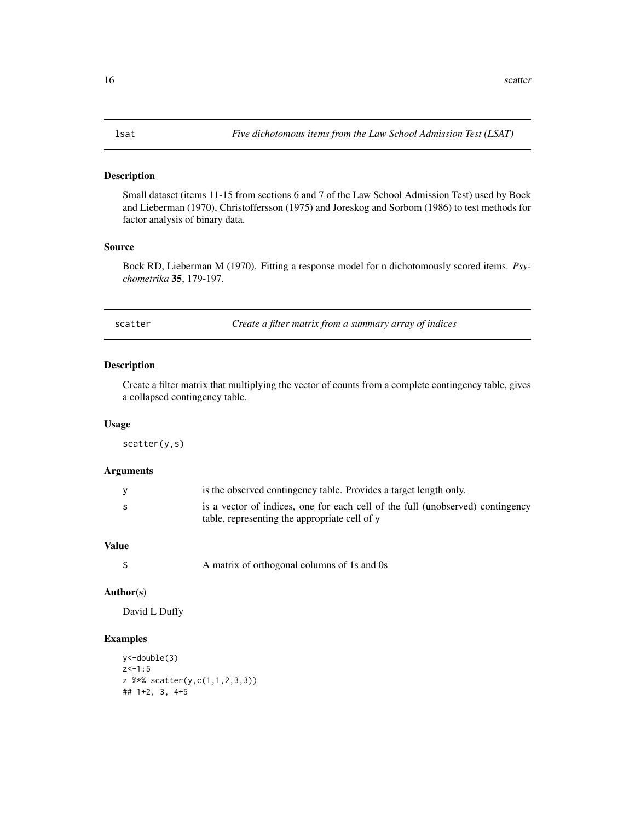<span id="page-15-0"></span>Small dataset (items 11-15 from sections 6 and 7 of the Law School Admission Test) used by Bock and Lieberman (1970), Christoffersson (1975) and Joreskog and Sorbom (1986) to test methods for factor analysis of binary data.

### Source

Bock RD, Lieberman M (1970). Fitting a response model for n dichotomously scored items. *Psychometrika* 35, 179-197.

scatter *Create a filter matrix from a summary array of indices*

# Description

Create a filter matrix that multiplying the vector of counts from a complete contingency table, gives a collapsed contingency table.

#### Usage

scatter(y,s)

#### Arguments

| <b>y</b> | is the observed contingency table. Provides a target length only.              |
|----------|--------------------------------------------------------------------------------|
| -S       | is a vector of indices, one for each cell of the full (unobserved) contingency |
|          | table, representing the appropriate cell of y                                  |

# Value

S A matrix of orthogonal columns of 1s and 0s

# Author(s)

David L Duffy

```
y<-double(3)
z < -1:5z %*% scatter(y,c(1,1,2,3,3))
## 1+2, 3, 4+5
```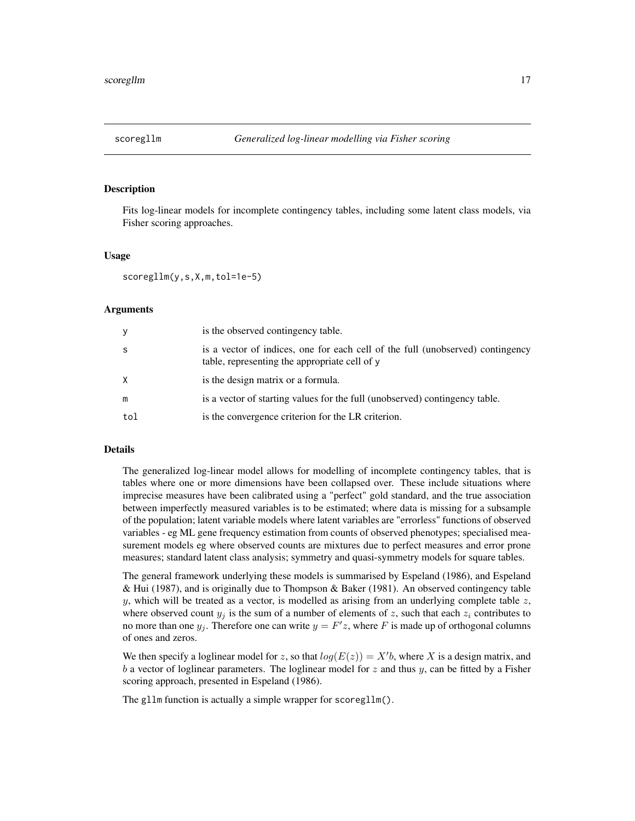<span id="page-16-0"></span>

Fits log-linear models for incomplete contingency tables, including some latent class models, via Fisher scoring approaches.

#### Usage

scoregllm(y,s,X,m,tol=1e-5)

#### Arguments

| У   | is the observed contingency table.                                                                                              |
|-----|---------------------------------------------------------------------------------------------------------------------------------|
| -S  | is a vector of indices, one for each cell of the full (unobserved) contingency<br>table, representing the appropriate cell of y |
| X   | is the design matrix or a formula.                                                                                              |
| m   | is a vector of starting values for the full (unobserved) contingency table.                                                     |
| tol | is the convergence criterion for the LR criterion.                                                                              |

# Details

The generalized log-linear model allows for modelling of incomplete contingency tables, that is tables where one or more dimensions have been collapsed over. These include situations where imprecise measures have been calibrated using a "perfect" gold standard, and the true association between imperfectly measured variables is to be estimated; where data is missing for a subsample of the population; latent variable models where latent variables are "errorless" functions of observed variables - eg ML gene frequency estimation from counts of observed phenotypes; specialised measurement models eg where observed counts are mixtures due to perfect measures and error prone measures; standard latent class analysis; symmetry and quasi-symmetry models for square tables.

The general framework underlying these models is summarised by Espeland (1986), and Espeland & Hui (1987), and is originally due to Thompson & Baker (1981). An observed contingency table y, which will be treated as a vector, is modelled as arising from an underlying complete table  $z$ , where observed count  $y_j$  is the sum of a number of elements of z, such that each  $z_i$  contributes to no more than one  $y_j$ . Therefore one can write  $y = F'z$ , where F is made up of orthogonal columns of ones and zeros.

We then specify a loglinear model for z, so that  $log(E(z)) = X'b$ , where X is a design matrix, and b a vector of loglinear parameters. The loglinear model for  $z$  and thus  $y$ , can be fitted by a Fisher scoring approach, presented in Espeland (1986).

The gllm function is actually a simple wrapper for scoregllm().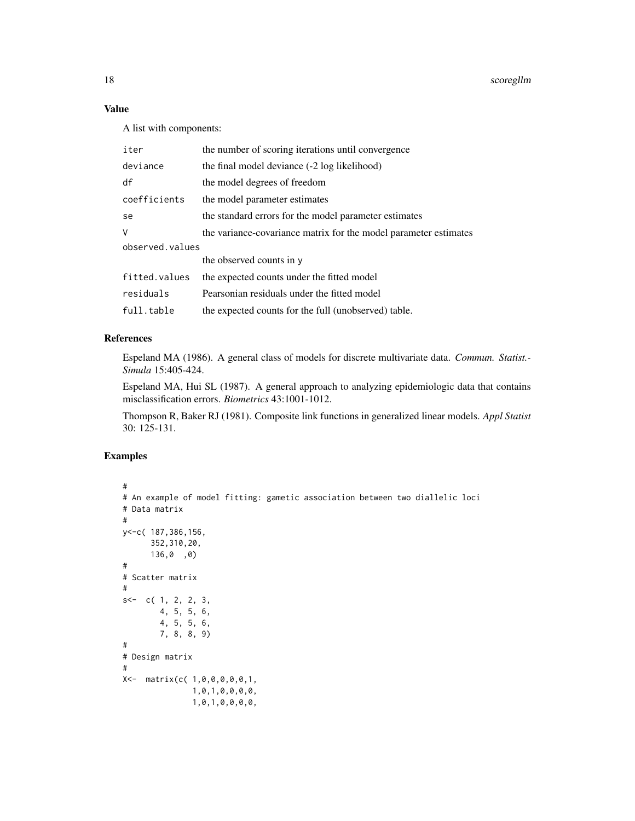# Value

A list with components:

| iter            | the number of scoring iterations until convergence               |  |  |
|-----------------|------------------------------------------------------------------|--|--|
| deviance        | the final model deviance (-2 log likelihood)                     |  |  |
| df              | the model degrees of freedom                                     |  |  |
| coefficients    | the model parameter estimates                                    |  |  |
| se              | the standard errors for the model parameter estimates            |  |  |
| V               | the variance-covariance matrix for the model parameter estimates |  |  |
| observed.values |                                                                  |  |  |
|                 | the observed counts in y                                         |  |  |
| fitted.values   | the expected counts under the fitted model                       |  |  |
| residuals       | Pearsonian residuals under the fitted model                      |  |  |
| full.table      | the expected counts for the full (unobserved) table.             |  |  |

# References

Espeland MA (1986). A general class of models for discrete multivariate data. *Commun. Statist.- Simula* 15:405-424.

Espeland MA, Hui SL (1987). A general approach to analyzing epidemiologic data that contains misclassification errors. *Biometrics* 43:1001-1012.

Thompson R, Baker RJ (1981). Composite link functions in generalized linear models. *Appl Statist* 30: 125-131.

```
#
# An example of model fitting: gametic association between two diallelic loci
# Data matrix
#
y<-c( 187,386,156,
      352,310,20,
      136,0 ,0)
#
# Scatter matrix
#
s<-c(1, 2, 2, 3,4, 5, 5, 6,
       4, 5, 5, 6,
       7, 8, 8, 9)
#
# Design matrix
#
X<- matrix(c( 1,0,0,0,0,0,1,
               1,0,1,0,0,0,0,
               1,0,1,0,0,0,0,
```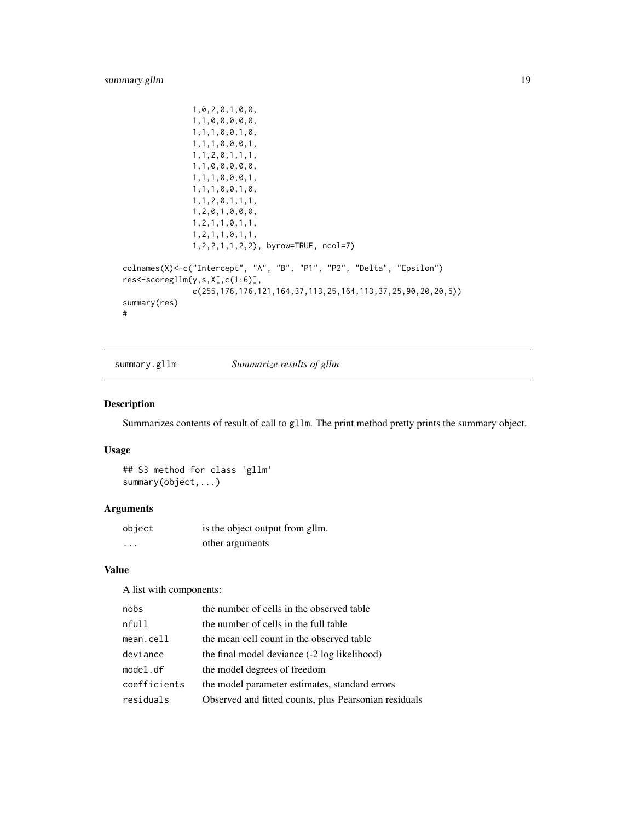```
1,0,2,0,1,0,0,
               1,1,0,0,0,0,0,
               1,1,1,0,0,1,0,
               1,1,1,0,0,0,1,
               1,1,2,0,1,1,1,
               1,1,0,0,0,0,0,
               1,1,1,0,0,0,1,
               1,1,1,0,0,1,0,
               1,1,2,0,1,1,1,
               1,2,0,1,0,0,0,
               1,2,1,1,0,1,1,
               1,2,1,1,0,1,1,
               1,2,2,1,1,2,2), byrow=TRUE, ncol=7)
colnames(X)<-c("Intercept", "A", "B", "P1", "P2", "Delta", "Epsilon")
res<-scoregllm(y,s,X[,c(1:6)],
               c(255,176,176,121,164,37,113,25,164,113,37,25,90,20,20,5))
summary(res)
#
```
summary.gllm *Summarize results of gllm*

# Description

Summarizes contents of result of call to gllm. The print method pretty prints the summary object.

### Usage

## S3 method for class 'gllm' summary(object,...)

#### Arguments

| object | is the object output from gllm. |
|--------|---------------------------------|
| .      | other arguments                 |

# Value

A list with components:

| nobs         | the number of cells in the observed table             |
|--------------|-------------------------------------------------------|
| nfull        | the number of cells in the full table                 |
| $mean$ .cell | the mean cell count in the observed table             |
| deviance     | the final model deviance (-2 log likelihood)          |
| model.df     | the model degrees of freedom                          |
| coefficients | the model parameter estimates, standard errors        |
| residuals    | Observed and fitted counts, plus Pearsonian residuals |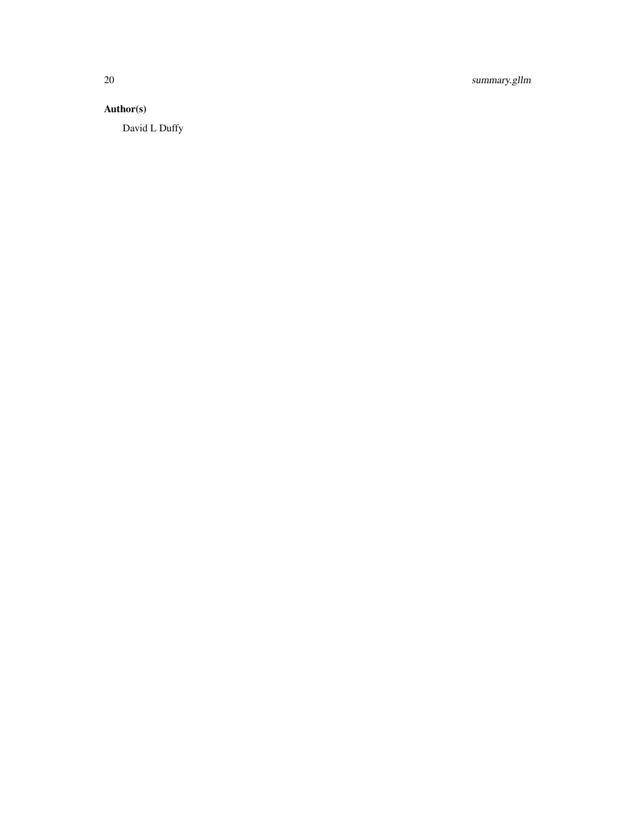20 summary.gllm

# Author(s)

David L Duffy